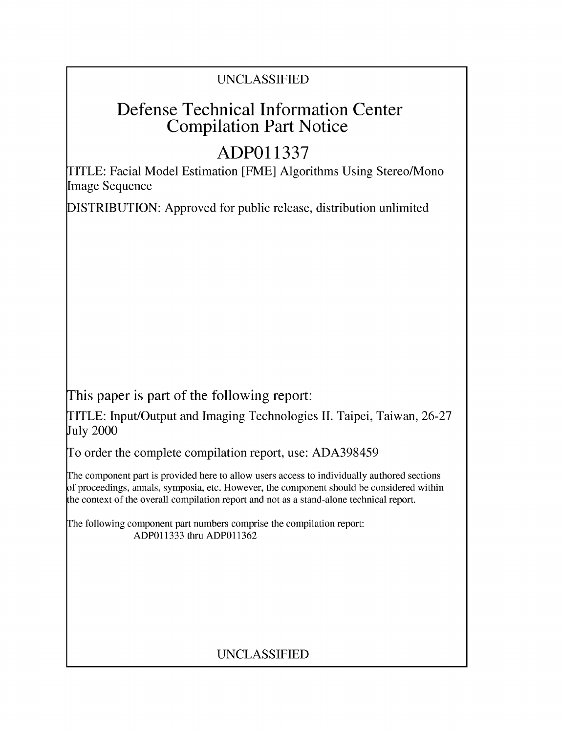## UNCLASSIFIED

# Defense Technical Information Center Compilation Part Notice

# **ADPO1 1337**

TITLE: Facial Model Estimation [FME] Algorithms Using Stereo/Mono Image Sequence

DISTRIBUTION: Approved for public release, distribution unlimited

This paper is part of the following report:

TITLE: Input/Output and Imaging Technologies II. Taipei, Taiwan, 26-27 July 2000

To order the complete compilation report, use: ADA398459

The component part is provided here to allow users access to individually authored sections f proceedings, annals, symposia, etc. However, the component should be considered within [he context of the overall compilation report and not as a stand-alone technical report.

The following component part numbers comprise the compilation report: ADP011333 thru ADP011362

## UNCLASSIFIED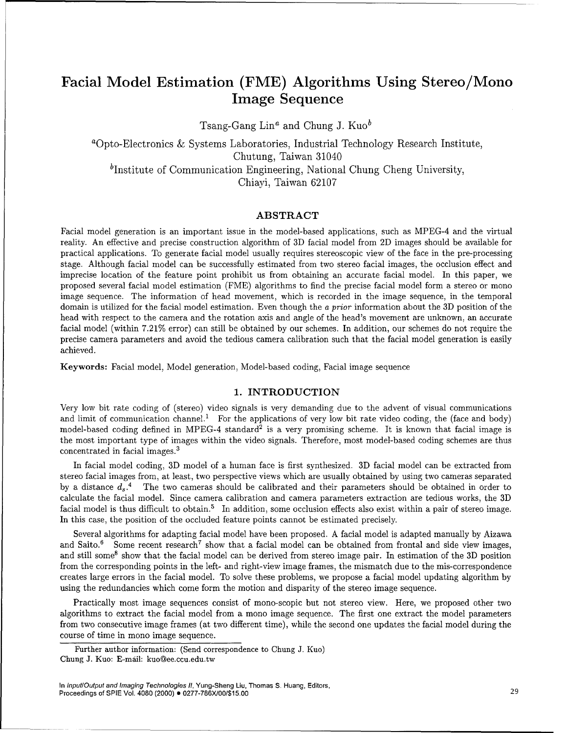## Facial Model Estimation (FME) Algorithms Using Stereo/Mono Image Sequence

Tsang-Gang Lin<sup>a</sup> and Chung J. Kuo<sup>b</sup>

aOpto-Electronics **&** Systems Laboratories, Industrial Technology Research Institute, Chutung, Taiwan 31040  $\delta$ Institute of Communication Engineering, National Chung Cheng University,

Chiayi, Taiwan 62107

## ABSTRACT

Facial model generation is an important issue in the model-based applications, such as MPEG-4 and the virtual reality. An effective and precise construction algorithm of 3D facial model from 2D images should be available for practical applications. To generate facial model usually requires stereoscopic view of the face in the pre-processing stage. Although facial model can be successfully estimated from two stereo facial images, the occlusion effect and imprecise location of the feature point prohibit us from obtaining an accurate facial model. In this paper, we proposed several facial model estimation (FME) algorithms to find the precise facial model form a stereo or mono image sequence. The information of head movement, which is recorded in the image sequence, in the temporal domain is utilized for the facial model estimation. Even though the a prior information about the 3D position of the head with respect to the camera and the rotation axis and angle of the head's movement are unknown, an accurate facial model (within 7.21% error) can still be obtained by our schemes. In addition, our schemes do not require the precise camera parameters and avoid the tedious camera calibration such that the facial model generation is easily achieved.

Keywords: Facial model, Model generation, Model-based coding, Facial image sequence

## 1. INTRODUCTION

Very low bit rate coding of (stereo) video signals is very demanding due to the advent of visual communications and limit of communication channel.<sup>1</sup> For the applications of very low bit rate video coding, the (face and body) model-based coding defined in MPEG-4 standard<sup>2</sup> is a very promising scheme. It is known that facial image is the most important type of images within the video signals. Therefore, most model-based coding schemes are thus concentrated in facial images. <sup>3</sup>

In facial model coding, 3D model of a human face is first synthesized. 3D facial model can be extracted from stereo facial images from, at least, two perspective views which are usually obtained by using two cameras separated by a distance  $d_s$ .<sup>4</sup> The two cameras should be calibrated and their parameters should be obtained in order to calculate the facial model. Since camera calibration and camera parameters extraction are tedious works, the 3D facial model is thus difficult to obtain.<sup>5</sup> In addition, some occlusion effects also exist within a pair of stereo image. In this case, the position of the occluded feature points cannot be estimated precisely.

Several algorithms for adapting facial model have been proposed. A facial model is adapted manually by Aizawa and Saito.<sup>6</sup> Some recent research<sup>7</sup> show that a facial model can be obtained from frontal and side view images, and still some<sup>8</sup> show that the facial model can be derived from stereo image pair. In estimation of the 3D position from the corresponding points in the left- and right-view image frames, the mismatch due to the mis-correspondence creates large errors in the facial model. To solve these problems, we propose a facial model updating algorithm by using the redundancies which come form the motion and disparity of the stereo image sequence.

Practically most image sequences consist of mono-scopic but not stereo view. Here, we proposed other two algorithms to extract the facial model from a mono image sequence. The first one extract the model parameters from two consecutive image frames (at two different time), while the second one updates the facial model during the course of time in mono image sequence.

Further author information: (Send correspondence to Chung **J.** Kuo) Chung J. Kuo: E-mail: kuo@ee.ccu.edu.tw

In *Input/Output and Imaging Technologies II,* Yung-Sheng Liu, Thomas **S.** Huang, Editors, Proceedings of **SPIE** Vol. 4080 (2000) **\*** 0277-786X/00/\$15.00 **29**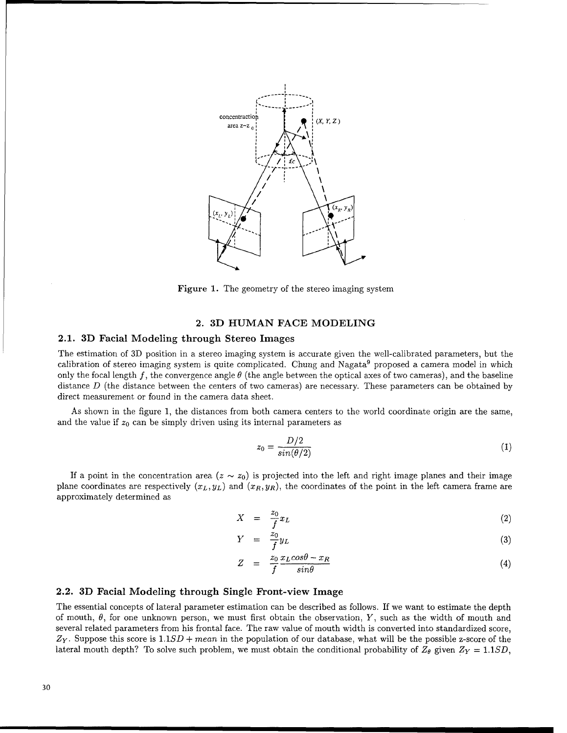

Figure **1.** The geometry of the stereo imaging system

## 2. **3D HUMAN FACE MODELING**

## 2.1. **3D** Facial Modeling through Stereo Images

The estimation of **3D** position in a stereo imaging system is accurate given the well-calibrated parameters, but the calibration of stereo imaging system is quite complicated. Chung and Nagata **9** proposed a camera model in which only the focal length  $f$ , the convergence angle  $\theta$  (the angle between the optical axes of two cameras), and the baseline distance **D** (the distance between the centers of two cameras) are necessary. These parameters can be obtained **by** direct measurement or found in the camera data sheet.

As shown in the figure **1,** the distances from both camera centers to the world coordinate origin are the same, and the value if  $z_0$  can be simply driven using its internal parameters as

$$
z_0 = \frac{D/2}{\sin(\theta/2)}\tag{1}
$$

If a point in the concentration area  $(z \sim z_0)$  is projected into the left and right image planes and their image plane coordinates are respectively  $(x_L, y_L)$  and  $(x_R, y_R)$ , the coordinates of the point in the left camera frame are approximately determined as

$$
X = \frac{z_0}{f} x_L \tag{2}
$$

$$
Y = \frac{z_0}{f} y_L \tag{3}
$$

$$
Z = \frac{z_0}{f} \frac{x_L \cos \theta - x_R}{\sin \theta} \tag{4}
$$

#### 2.2. **3D** Facial Modeling through Single Front-view Image The estimation concepts of lateral parameter estimation can be described as follows. If we want to estimate the depth

The essential concepts of lateral parameter estimation can be described as follows. If we want to estimate the depth of mouth,  $\theta$ , for one unknown person, we must first obtain the observation, Y, such as the width of mouth and several related parameters from his frontal face. The raw value of mouth width is converted into standardized score,  $Z_Y$ . Suppose this score is  $1.1SD + mean$  in the population of our database, what will be the possible z-score of the lateral mouth depth? To solve such problem, we must obtain the conditional probability of  $Z_\theta$  given  $Z_Y = 1$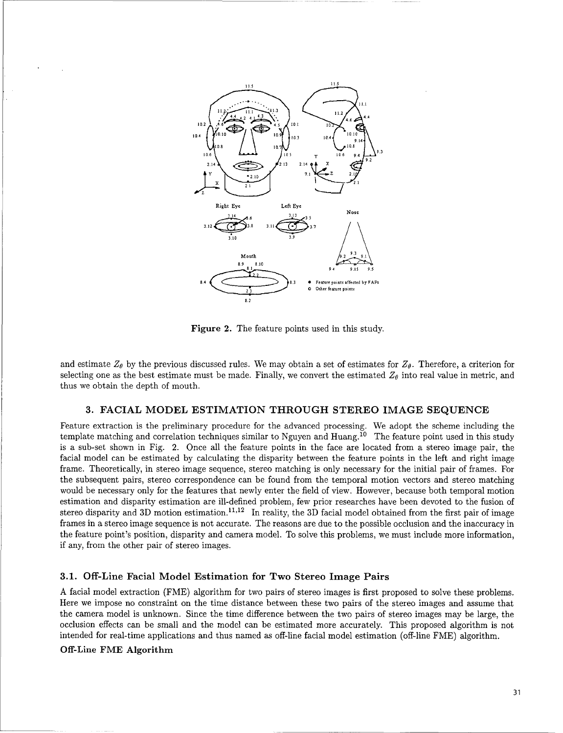

Figure 2. The feature points used in this study.

and estimate  $Z_{\theta}$  by the previous discussed rules. We may obtain a set of estimates for  $Z_{\theta}$ . Therefore, a criterion for selecting one as the best estimate must be made. Finally, we convert the estimated  $Z_{\theta}$  into real value in metric, and thus we obtain the depth of mouth.

## **3. FACIAL** MODEL **ESTIMATION** THROUGH STEREO IMAGE **SEQUENCE**

Feature extraction is the preliminary procedure for the advanced processing. We adopt the scheme including the template matching and correlation techniques similar to Nguyen and Huang.<sup>10</sup> The feature point used in this study is a sub-set shown in Fig. 2. Once all the feature points in the face are located from a stereo image pair, the facial model can be estimated by calculating the disparity between the feature points in the left and right image frame. Theoretically, in stereo image sequence, stereo matching is only necessary for the initial pair of frames. For the subsequent pairs, stereo correspondence can be found from the temporal motion vectors and stereo matching would be necessary only for the features that newly enter the field of view. However, because both temporal motion estimation and disparity estimation are ill-defined problem, few prior researches have been devoted to the fusion of stereo disparity and 3D motion estimation.<sup>11,12</sup> In reality, the 3D facial model obtained from the first pair of image frames in a stereo image sequence is not accurate. The reasons are due to the possible occlusion and the inaccuracy in the feature point's position, disparity and camera model. To solve this problems, we must include more information, if any, from the other pair of stereo images.

## **3.1.** Off-Line Facial Model Estimation for Two Stereo Image Pairs

A facial model extraction (FME) algorithm for two pairs of stereo images is first proposed to solve these problems. Here we impose no constraint on the time distance between these two pairs of the stereo images and assume that the camera model is unknown. Since the time difference between the two pairs of stereo images may be large, the occlusion effects can be small and the model can be estimated more accurately. This proposed algorithm is not intended for real-time applications and thus named as off-line facial model estimation (off-line FME) algorithm.

#### Off-Line FME Algorithm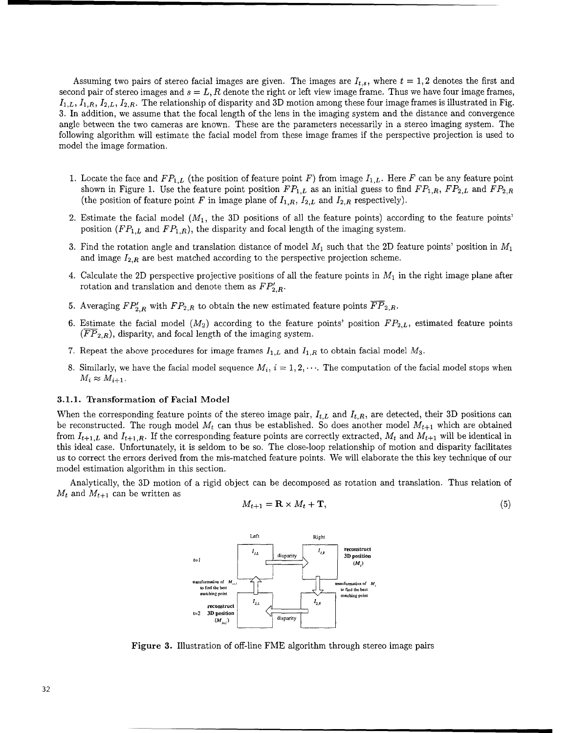Assuming two pairs of stereo facial images are given. The images are  $I_{t,s}$ , where  $t = 1, 2$  denotes the first and second pair of stereo images and  $s = L, R$  denote the right or left view image frame. Thus we have four image frames,  $I_{1,L}$ ,  $I_{1,R}$ ,  $I_{2,L}$ ,  $I_{2,R}$ . The relationship of disparity and 3D motion among these four image frames is illustrated in Fig. 3. In addition, we assume that the focal length of the lens in the imaging system and the distance and convergence angle between the two cameras are known. These are the parameters necessarily in a stereo imaging system. The following algorithm will estimate the facial model from these image frames if the perspective projection is used to model the image formation.

- 1. Locate the face and  $FP_{1,L}$  (the position of feature point F) from image  $I_{1,L}$ . Here F can be any feature point shown in Figure 1. Use the feature point position  $FP_{1,L}$  as an initial guess to find  $FP_{1,R}$ ,  $FP_{2,L}$  and  $FP_{2,R}$ (the position of feature point F in image plane of  $I_{1,R}$ ,  $I_{2,L}$  and  $I_{2,R}$  respectively).
- 2. Estimate the facial model  $(M_1, \text{ the 3D positions of all the feature points})$  according to the feature points' position  $(FP_{1,L}$  and  $FP_{1,R}$ , the disparity and focal length of the imaging system.
- 3. Find the rotation angle and translation distance of model  $M_1$  such that the 2D feature points' position in  $M_1$ and image  $I_{2,R}$  are best matched according to the perspective projection scheme.
- 4. Calculate the 2D perspective projective positions of all the feature points in *M1* in the right image plane after rotation and translation and denote them as  $FP'_{2,R}$ .
- 5. Averaging  $FP'_{2,R}$  with  $FP_{2,R}$  to obtain the new estimated feature points  $\overline{FP}_{2,R}$ .
- 6. Estimate the facial model  $(M_2)$  according to the feature points' position  $FP_{2,L}$ , estimated feature points  $(\overline{FP}_{2,R})$ , disparity, and focal length of the imaging system.
- 7. Repeat the above procedures for image frames  $I_{1,L}$  and  $I_{1,R}$  to obtain facial model  $M_3$ .
- 8. Similarly, we have the facial model sequence  $M_i$ ,  $i = 1, 2, \cdots$ . The computation of the facial model stops when  $M_i \approx M_{i+1}.$

#### **3.1.1.** Transformation of Facial Model

When the corresponding feature points of the stereo image pair,  $I_{t,L}$  and  $I_{t,R}$ , are detected, their 3D positions can be reconstructed. The rough model  $M_t$  can thus be established. So does another model  $M_{t+1}$  which are obtained from  $I_{t+1,L}$  and  $I_{t+1,R}$ . If the corresponding feature points are correctly extracted,  $M_t$  and  $M_{t+1}$  will be identical in this ideal case. Unfortunately, it is seldom to be so. The close-loop relationship of motion and disparity facilitates us to correct the errors derived from the mis-matched feature points. We will elaborate the this key technique of our model estimation algorithm in this section.

Analytically, the 3D motion of a rigid object can be decomposed as rotation and translation. Thus relation of  $M_t$  and  $M_{t+1}$  can be written as

$$
M_{t+1} = \mathbf{R} \times M_t + \mathbf{T},\tag{5}
$$



Figure **3.** Illustration of off-line FME algorithm through stereo image pairs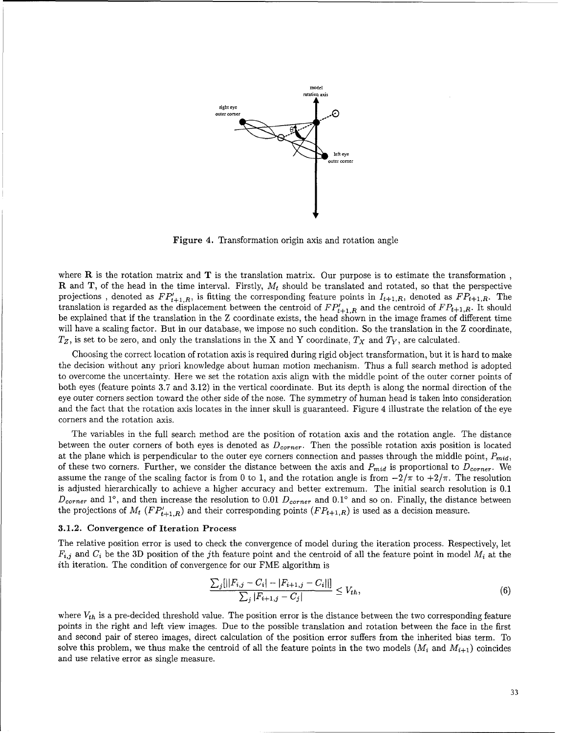

Figure 4. Transformation origin axis and rotation angle

where  $R$  is the rotation matrix and  $T$  is the translation matrix. Our purpose is to estimate the transformation, **R** and **T**, of the head in the time interval. Firstly,  $M_t$  should be translated and rotated, so that the perspective projections, denoted as  $FP'_{t+1,R}$ , is fitting the corresponding feature points in  $I_{t+1,R}$ , denoted as  $FP_{t+1,R}$ . The translation is regarded as the displacement between the centroid of  $FP'_{t+1,R}$  and the centroid of  $FP_{t+1,R}$ . It should be explained that if the translation in the Z coordinate exists, the head shown in the image frames of different time will have a scaling factor. But in our database, we impose no such condition. So the translation in the Z coordinate,  $T_Z$ , is set to be zero, and only the translations in the X and Y coordinate,  $T_X$  and  $T_Y$ , are calculated.

Choosing the correct location of rotation axis is required during rigid object transformation, but it is hard to make the decision without any priori knowledge about human motion mechanism. Thus a full search method is adopted to overcome the uncertainty. Here we set the rotation axis align with the middle point of the outer corner points of both eyes (feature points 3.7 and 3.12) in the vertical coordinate. But its depth is along the normal direction of the eye outer corners section toward the other side of the nose. The symmetry of human head is taken into consideration and the fact that the rotation axis locates in the inner skull is guaranteed. Figure 4 illustrate the relation of the eye corners and the rotation axis.

The variables in the full search method are the position of rotation axis and the rotation angle. The distance between the outer corners of both eyes is denoted as *Dcorner.* Then the possible rotation axis position is located at the plane which is perpendicular to the outer eye corners connection and passes through the middle point,  $P_{mid}$ , of these two corners. Further, we consider the distance between the axis and  $P_{mid}$  is proportional to  $D_{corner}$ . We assume the range of the scaling factor is from 0 to 1, and the rotation angle is from  $-2/\pi$  to  $+2/\pi$ . The resolution is adjusted hierarchically to achieve a higher accuracy and better extremum. The initial search resolution is 0.1 D<sub>corner</sub> and 1<sup>°</sup>, and then increase the resolution to 0.01  $D_{corner}$  and 0.1<sup>°</sup> and so on. Finally, the distance between the projections of  $M_t$  ( $FP'_{t+1,R}$ ) and their corresponding points ( $FP_{t+1,R}$ ) is used as a decision measure.

### **3.1.2.** Convergence of Iteration Process

The relative position error is used to check the convergence of model during the iteration process. Respectively, let  $F_{i,j}$  and  $C_i$  be the 3D position of the j<sup>th</sup> feature point and the centroid of all the feature point in model  $M_i$  at the ith iteration. The condition of convergence for our FME algorithm is

$$
\frac{\sum_{j} [||F_{i,j} - C_i| - |F_{i+1,j} - C_i||]}{\sum_{j} |F_{i+1,j} - C_j|} \le V_{th},\tag{6}
$$

where  $V_{th}$  is a pre-decided threshold value. The position error is the distance between the two corresponding feature points in the right and left view images. Due to the possible translation and rotation between the face in the first and second pair of stereo images, direct calculation of the position error suffers from the inherited bias term. To solve this problem, we thus make the centroid of all the feature points in the two models  $(M_i$  and  $M_{i+1})$  coincides and use relative error as single measure.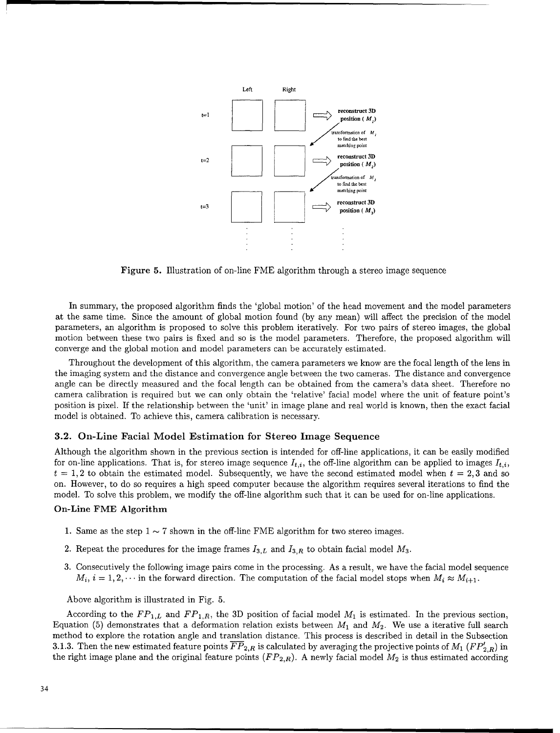

Figure **5.** Illustration of on-line FME algorithm through a stereo image sequence

In summary, the proposed algorithm finds the 'global motion' of the head movement and the model parameters at the same time. Since the amount of global motion found (by any mean) will affect the precision of the model parameters, an algorithm is proposed to solve this problem iteratively. For two pairs of stereo images, the global motion between these two pairs is fixed and so is the model parameters. Therefore, the proposed algorithm will converge and the global motion and model parameters can be accurately estimated.

Throughout the development of this algorithm, the camera parameters we know are the focal length of the lens in the imaging system and the distance and convergence angle between the two cameras. The distance and convergence angle can be directly measured and the focal length can be obtained from the camera's data sheet. Therefore no camera calibration is required but we can only obtain the 'relative' facial model where the unit of feature point's position is pixel. If the relationship between the 'unit' in image plane and real world is known, then the exact facial model is obtained. To achieve this, camera calibration is necessary.

### **3.2.** On-Line Facial Model Estimation for Stereo Image Sequence

Although the algorithm shown in the previous section is intended for off-line applications, it can be easily modified for on-line applications. That is, for stereo image sequence  $I_{t,i}$ , the off-line algorithm can be applied to images  $I_{t,i}$ ,  $t = 1, 2$  to obtain the estimated model. Subsequently, we have the second estimated model when  $t = 2, 3$  and so on. However, to do so requires a high speed computer because the algorithm requires several iterations to find the model. To solve this problem, we modify the off-line algorithm such that it can be used for on-line applications.

#### On-Line FME Algorithm

- 1. Same as the step  $1 \sim 7$  shown in the off-line FME algorithm for two stereo images.
- 2. Repeat the procedures for the image frames  $I_{3,L}$  and  $I_{3,R}$  to obtain facial model  $M_3$ .
- 3. Consecutively the following image pairs come in the processing. As a result, we have the facial model sequence  $M_i$ ,  $i = 1, 2, \cdots$  in the forward direction. The computation of the facial model stops when  $M_i \approx M_{i+1}$ .

Above algorithm is illustrated in Fig. 5.

According to the  $FP_{1,L}$  and  $FP_{1,R}$ , the 3D position of facial model  $M_1$  is estimated. In the previous section, Equation (5) demonstrates that a deformation relation exists between  $M_1$  and  $M_2$ . We use a iterative full search method to explore the rotation angle and translation distance. This process is described in detail in the Subsection 3.1.3. Then the new estimated feature points  $\overline{FP}_{2,R}$  is calculated by averaging the projective points of  $M_1$  ( $FP'_{2,R}$ ) in the right image plane and the original feature points  $(FP_{2,R})$ . A newly facial model  $M_2$  is thus estimated according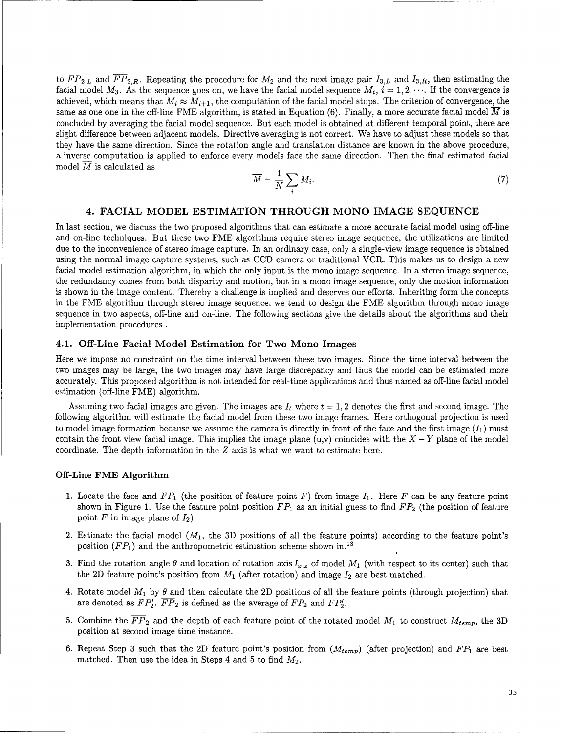to  $FP_{2,L}$  and  $\overline{FP}_{2,R}$ . Repeating the procedure for  $M_2$  and the next image pair  $I_{3,L}$  and  $I_{3,R}$ , then estimating the facial model  $M_3$ . As the sequence goes on, we have the facial model sequence  $M_i$ ,  $i = 1, 2, \dots$ . If the convergence is achieved, which means that  $M_i \approx M_{i+1}$ , the computation of the facial model stops. The criterion of convergence, the same as one one in the off-line FME algorithm, is stated in Equation (6). Finally, a more accurate facial model  $\overline{M}$  is concluded by averaging the facial model sequence. But each model is obtained at different temporal point, there are slight difference between adjacent models. Directive averaging is not correct. We have to adjust these models so that they have the same direction. Since the rotation angle and translation distance are known in the above procedure, a inverse computation is applied to enforce every models face the same direction. Then the final estimated facial model  $\overline{M}$  is calculated as

$$
\overline{M} = \frac{1}{N} \sum_{i} M_i. \tag{7}
$$

## 4. FACIAL MODEL ESTIMATION THROUGH **MONO** IMAGE **SEQUENCE**

In last section, we discuss the two proposed algorithms that can estimate a more accurate facial model using off-line and on-line techniques. But these two FME algorithms require stereo image sequence, the utilizations are limited due to the inconvenience of stereo image capture. In an ordinary case, only a single-view image sequence is obtained using the normal image capture systems, such as CCD camera or traditional VCR. This makes us to design a new facial model estimation algorithm, in which the only input is the mono image sequence. In a stereo image sequence, the redundancy comes from both disparity and motion, but in a mono image sequence, only the motion information is shown in the image content. Thereby a challenge is implied and deserves our efforts. Inheriting form the concepts in the FME algorithm through stereo image sequence, we tend to design the FME algorithm through mono image sequence in two aspects, off-line and on-line. The following sections give the details about the algorithms and their implementation procedures.

#### 4.1. Off-Line Facial Model Estimation for Two Mono Images

Here we impose no constraint on the time interval between these two images. Since the time interval between the two images may be large, the two images may have large discrepancy and thus the model can be estimated more accurately. This proposed algorithm is not intended for real-time applications and thus named as off-line facial model estimation (off-line FME) algorithm.

Assuming two facial images are given. The images are  $I_t$  where  $t = 1, 2$  denotes the first and second image. The following algorithm will estimate the facial model from these two image frames. Here orthogonal projection is used to model image formation because we assume the camera is directly in front of the face and the first image  $(I_1)$  must contain the front view facial image. This implies the image plane  $(u, v)$  coincides with the  $X - Y$  plane of the model coordinate. The depth information in the Z axis is what we want to estimate here.

#### Off-Line FME Algorithm

- 1. Locate the face and  $FP_1$  (the position of feature point F) from image  $I_1$ . Here F can be any feature point shown in Figure 1. Use the feature point position  $FP_1$  as an initial guess to find  $FP_2$  (the position of feature point  $F$  in image plane of  $I_2$ ).
- 2. Estimate the facial model  $(M_1,$  the 3D positions of all the feature points) according to the feature point's position  $(FP_1)$  and the anthropometric estimation scheme shown in.<sup>13</sup>
- 3. Find the rotation angle  $\theta$  and location of rotation axis  $l_{x,z}$  of model  $M_1$  (with respect to its center) such that the 2D feature point's position from  $M_1$  (after rotation) and image  $I_2$  are best matched.
- 4. Rotate model  $M_1$  by  $\theta$  and then calculate the 2D positions of all the feature points (through projection) that are denoted as  $FP_2'$ .  $\overline{FP}_2$  is defined as the average of  $FP_2$  and  $FP_2'$ .
- 5. Combine the  $\overline{FP}_2$  and the depth of each feature point of the rotated model  $M_1$  to construct  $M_{temp}$ , the 3D position at second image time instance.
- 6. Repeat Step 3 such that the 2D feature point's position from  $(M_{temp})$  (after projection) and  $FP_1$  are best matched. Then use the idea in Steps 4 and 5 to find  $M_2$ .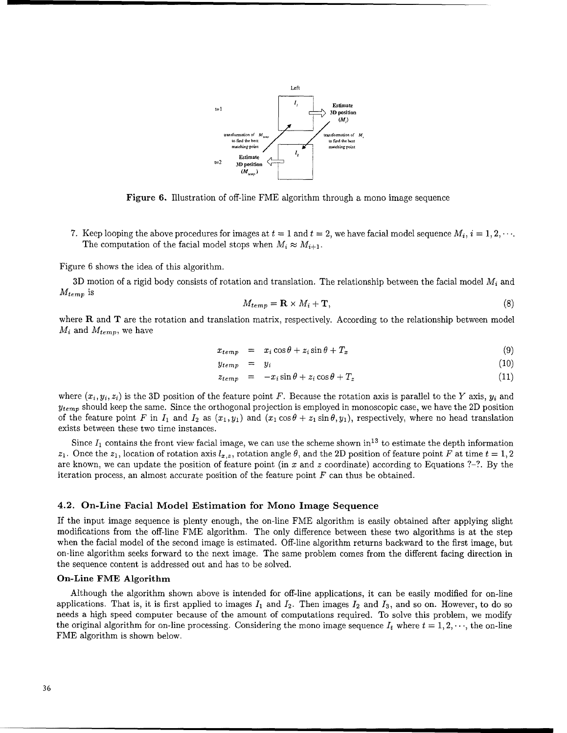

Figure **6.** Illustration of off-line FME algorithm through a mono image sequence

7. Keep looping the above procedures for images at  $t = 1$  and  $t = 2$ , we have facial model sequence  $M_i$ ,  $i = 1, 2, \dots$ . The computation of the facial model stops when  $M_i \approx M_{i+1}$ .

Figure 6 shows the idea of this algorithm.

3D motion of a rigid body consists of rotation and translation. The relationship between the facial model  $M_i$  and *Mtemp* is

$$
M_{temp} = \mathbf{R} \times M_i + \mathbf{T},\tag{8}
$$

where R and T are the rotation and translation matrix, respectively. According to the relationship between model  $M_i$  and  $M_{temp}$ , we have

$$
x_{temp} = x_i \cos \theta + z_i \sin \theta + T_x \tag{9}
$$

$$
y_{temp} = y_i \tag{10}
$$

$$
z_{temp} = -x_i \sin \theta + z_i \cos \theta + T_z \tag{11}
$$

where  $(x_i, y_i, z_i)$  is the 3D position of the feature point F. Because the rotation axis is parallel to the Y axis,  $y_i$  and *Yterp* should keep the same. Since the orthogonal projection is employed in monoscopic case, we have the 2D position of the feature point F in I<sub>1</sub> and I<sub>2</sub> as  $(x_1, y_1)$  and  $(x_1 \cos \theta + z_1 \sin \theta, y_1)$ , respectively, where no head translation exists between these two time instances.

Since  $I_1$  contains the front view facial image, we can use the scheme shown in<sup>13</sup> to estimate the depth information  $z_1$ . Once the  $z_1$ , location of rotation axis  $l_{x,z}$ , rotation angle  $\theta$ , and the 2D position of feature point F at time  $t = 1, 2$ are known, we can update the position of feature point (in x and z coordinate) according to Equations ?-?. By the iteration process, an almost accurate position of the feature point  $F$  can thus be obtained.

#### 4.2. On-Line Facial Model Estimation for Mono Image Sequence

If the input image sequence is plenty enough, the on-line FME algorithm is easily obtained after applying slight modifications from the off-line FME algorithm. The only difference between these two algorithms is at the step when the facial model of the second image is estimated. Off-line algorithm returns backward to the first image, but on-line algorithm seeks forward to the next image. The same problem comes from the different facing direction in the sequence content is addressed out and has to be solved.

#### On-Line FME Algorithm

Although the algorithm shown above is intended for off-line applications, it can be easily modified for on-line applications. That is, it is first applied to images  $I_1$  and  $I_2$ . Then images  $I_2$  and  $I_3$ , and so on. However, to do so needs a high speed computer because of the amount of computations required. To solve this problem, we modify the original algorithm for on-line processing. Considering the mono image sequence  $I_t$  where  $t = 1, 2, \dots$ , the on-line FME algorithm is shown below.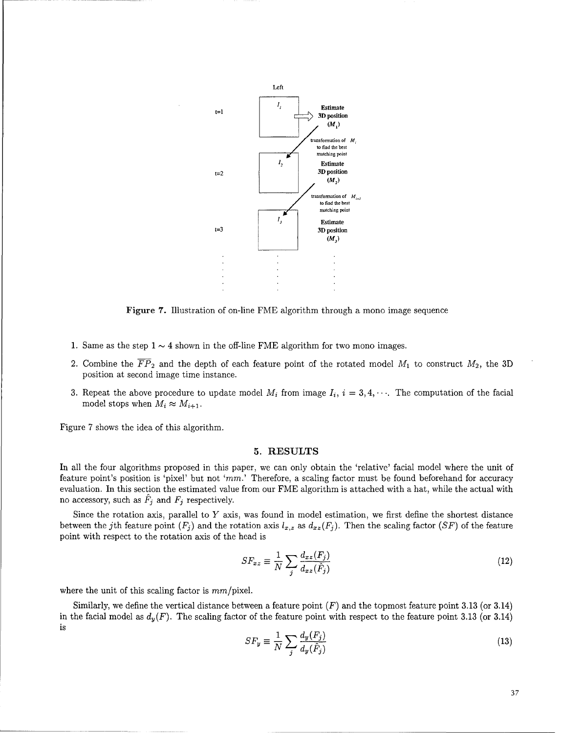

**Figure 7.** Illustration of on-line FME algorithm through a mono image sequence

- 1. Same as the step  $1 \sim 4$  shown in the off-line FME algorithm for two mono images.
- 2. Combine the  $\overline{FP}_2$  and the depth of each feature point of the rotated model  $M_1$  to construct  $M_2$ , the 3D position at second image time instance.
- 3. Repeat the above procedure to update model  $M_i$  from image  $I_i$ ,  $i = 3, 4, \cdots$ . The computation of the facial model stops when  $M_i \approx M_{i+1}$ .

Figure 7 shows the idea of this algorithm.

### **5. RESULTS**

In all the four algorithms proposed in this paper, we can only obtain the 'relative' facial model where the unit of feature point's position is 'pixel' but not 'mm.' Therefore, a scaling factor must be found beforehand for accuracy evaluation. In this section the estimated value from our FME algorithm is attached with a hat, while the actual with no accessory, such as  $\hat{F}_j$  and  $F_j$  respectively.

Since the rotation axis, parallel to  $Y$  axis, was found in model estimation, we first define the shortest distance between the jth feature point  $(F_j)$  and the rotation axis  $l_{x,z}$  as  $d_{xz}(F_j)$ . Then the scaling factor  $(SF)$  of the feature point with respect to the rotation axis of the head is

$$
SF_{xz} \equiv \frac{1}{N} \sum_{j} \frac{d_{xz}(F_j)}{d_{xz}(\hat{F}_j)}\tag{12}
$$

where the unit of this scaling factor is  $mm/pixel$ .

Similarly, we define the vertical distance between a feature point  $(F)$  and the topmost feature point 3.13 (or 3.14) in the facial model as  $d_y(F)$ . The scaling factor of the feature point with respect to the feature point 3.13 (or 3.14) is

$$
SF_y \equiv \frac{1}{N} \sum_j \frac{d_y(F_j)}{d_y(\hat{F}_j)}\tag{13}
$$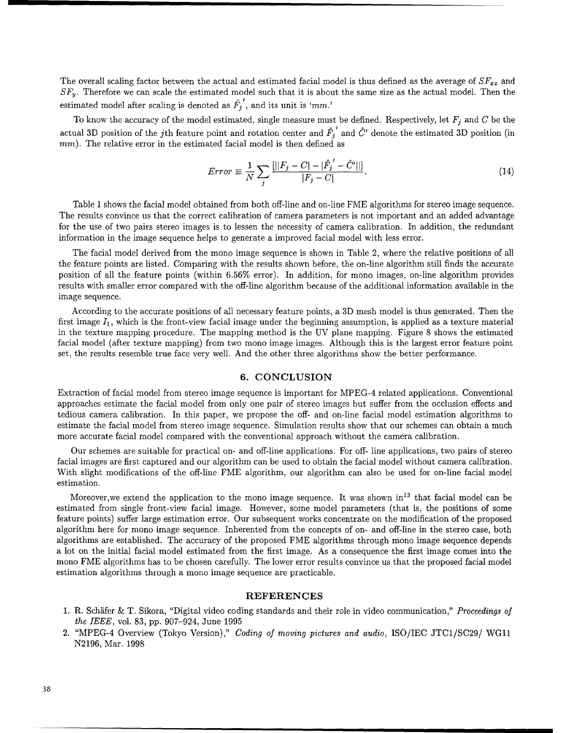The overall scaling factor between the actual and estimated facial model is thus defined as the average of  $SF_{xz}$  and  $SF<sub>v</sub>$ . Therefore we can scale the estimated model such that it is about the same size as the actual model. Then the estimated model after scaling is denoted as  $\hat{F}_j$ <sup>'</sup>, and its unit is 'mm.'

To know the accuracy of the model estimated, single measure must be defined. Respectively, let  $F_j$  and  $C$  be the actual 3D position of the j<sup>th</sup> feature point and rotation center and  $\hat{F}_j'$  and  $\hat{C}'$  denote the estimated 3D position (in mm). The relative error in the estimated facial model is then defined as

$$
Error \equiv \frac{1}{N} \sum_{j} \frac{[||F_j - C| - |\hat{F}_j' - \hat{C}'||]}{|F_j - C|}.
$$
\n(14)

Table 1 shows the facial model obtained from both off-line and on-line FME algorithms for stereo image sequence. The results convince us that the correct calibration of camera parameters is not important and an added advantage for the use of two pairs stereo images is to lessen the necessity of camera calibration. In addition, the redundant information in the image sequence helps to generate a improved facial model with less error.

The facial model derived from the mono image sequence is shown in Table 2, where the relative positions of all the feature points are listed. Comparing with the results shown before, the on-line algorithm still finds the accurate position of all the feature points (within 6.56% error). In addition, for mono images, on-line algorithm provides results with smaller error compared with the off-line algorithm because of the additional information available in the image sequence.

According to the accurate positions of all necessary feature points, a 3D mesh model is thus generated. Then the first image  $I_1$ , which is the front-view facial image under the beginning assumption, is applied as a texture material in the texture mapping procedure. The mapping method is the UV plane mapping. Figure 8 shows the estimated facial model (after texture mapping) from two mono image images. Although this is the largest error feature point set, the results resemble true face very well. And the other three algorithms show the better performance.

## **6. CONCLUSION**

Extraction of facial model from stereo image sequence is important for MPEG-4 related applications. Conventional approaches estimate the facial model from only one pair of stereo images but suffer from the occlusion effects and tedious camera calibration. In this paper, we propose the off- and on-line facial model estimation algorithms to estimate the facial model from stereo image sequence. Simulation results show that our schemes can obtain a much more accurate facial model compared with the conventional approach without the camera calibration.

Our schemes are suitable for practical on- and off-line applications. For off- line applications, two pairs of stereo facial images are first captured and our algorithm can be used to obtain the facial model without camera calibration. With slight modifications of the off-line FME algorithm, our algorithm can also be used for on-line facial model estimation.

Moreover, we extend the application to the mono image sequence. It was shown  $in^{13}$  that facial model can be estimated from single front-view facial image. However, some model parameters (that is, the positions of some feature points) suffer large estimation error. Our subsequent works concentrate on the modification of the proposed algorithm here for mono image sequence. Inherented from the concepts of on- and off-line in the stereo case, both algorithms are established. The accuracy of the proposed FME algorithms through mono image sequence depends a lot on the initial facial model estimated from the first image. As a consequence the first image comes into the mono FME algorithms has to be chosen carefully. The lower error results convince us that the proposed facial model estimation algorithms through a mono image sequence are practicable.

#### **REFERENCES**

- 1. R. Schhfer & T. Sikora, "Digital video coding standards and their role in video communication," *Proceedings* of *the IEEE,* vol. 83, pp. 907-924, June 1995
- 2. "MPEG-4 Overview (Tokyo Version)," *Coding of* moving pictures and audio, ISO/IEC JTC1/SC29/ WG11 N2196, Mar. 1998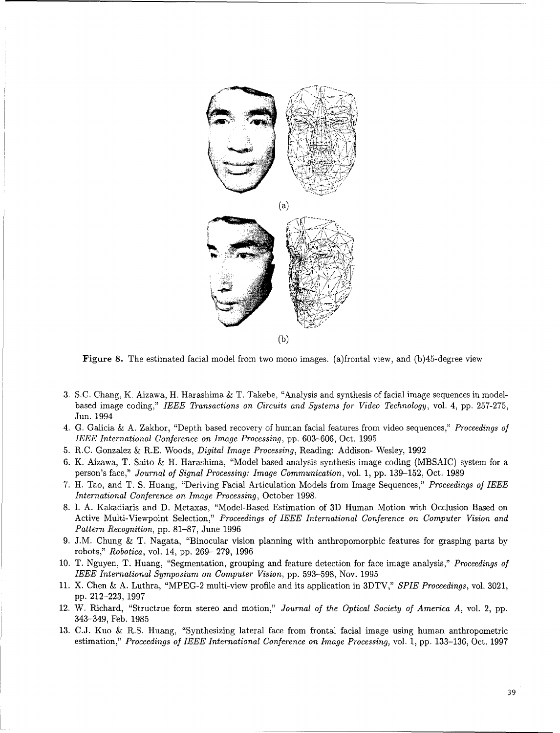

Figure 8. The estimated facial model from two mono images. (a)frontal view, and (b)45-degree view

- **3.** S.C. Chang, K. Aizawa, H. Harashima **&** T. Takebe, "Analysis and synthesis of facial image sequences in modelbased image coding," *IEEE Transactions* on Circuits and *Systems for Video Technology,* vol. 4, pp. 257-275, Jun. 1994
- 4. G. Galicia **&** A. Zakhor, "Depth based recovery of human facial features from video sequences," *Proceedings of* IEEE International Conference on Image *Processing,* pp. 603-606, Oct. 1995
- 5. R.C. Gonzalez & R.E. Woods, Digital *Image Processing,* Reading: Addison- Wesley, 1992
- 6. K. Aizawa, T. Saito & H. Harashima, "Model-based analysis synthesis image coding (MBSAIC) system for a person's face," Journal *of Signal Processing:* Image Communication, vol. 1, pp. 139-152, Oct. 1989
- 7. H. Tao, and T. S. Huang, "Deriving Facial Articulation Models from Image Sequences," *Proceedings of IEEE* International Conference on Image *Processing,* October 1998.
- 8. I. A. Kakadiaris and D. Metaxas, "Model-Based Estimation of 3D Human Motion with Occlusion Based on Active Multi-Viewpoint Selection," *Proceedings of IEEE* International Conference on Computer Vision and Pattern Recognition, pp. 81-87, June 1996
- 9. J.M. Chung & T. Nagata, "Binocular vision planning with anthropomorphic features for grasping parts by robots," Robotica, vol. 14, pp. 269- 279, 1996
- 10. T. Nguyen, T. Huang, "Segmentation, grouping and feature detection for face image analysis," Proceedings *of* IEEE International Symposium on Computer Vision, pp. 593-598, Nov. 1995
- 11. X. Chen & A. Luthra, "MPEG-2 multi-view profile and its application in 3DTV," *SPIE Proceedings,* vol. 3021, pp. 212-223, 1997
- 12. W. Richard, "Structrue form stereo and motion," Journal *of the Optical Society of* America A, vol. 2, pp. 343-349, Feb. 1985
- 13. C.J. Kuo & R.S. Huang, "Synthesizing lateral face from frontal facial image using human anthropometric estimation," *Proceedings of IEEE* International Conference on Image *Processing,* vol. 1, pp. 133-136, Oct. 1997